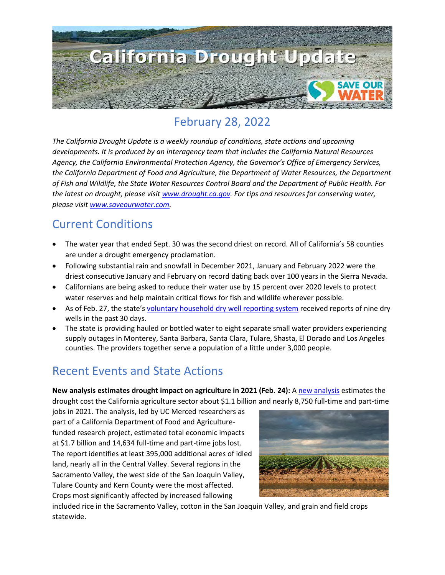

# February 28, 2022

*The California Drought Update is a weekly roundup of conditions, state actions and upcoming developments. It is produced by an interagency team that includes the California Natural Resources Agency, the California Environmental Protection Agency, the Governor's Office of Emergency Services, the California Department of Food and Agriculture, the Department of Water Resources, the Department of Fish and Wildlife, the State Water Resources Control Board and the Department of Public Health. For the latest on drought, please visit [www.drought.ca.gov.](http://www.drought.ca.gov/) For tips and resources for conserving water, please visit [www.saveourwater.com.](http://www.saveourwater.com/)* 

## Current Conditions

- The water year that ended Sept. 30 was the second driest on record. All of California's 58 counties are under a drought emergency proclamation.
- Following substantial rain and snowfall in December 2021, January and February 2022 were the driest consecutive January and February on record dating back over 100 years in the Sierra Nevada.
- Californians are being asked to reduce their water use by 15 percent over 2020 levels to protect water reserves and help maintain critical flows for fish and wildlife wherever possible.
- As of Feb. 27, the state's [voluntary household dry well reporting system](https://mydrywell.water.ca.gov/report/) received reports of nine dry wells in the past 30 days.
- The state is providing hauled or bottled water to eight separate small water providers experiencing supply outages in Monterey, Santa Barbara, Santa Clara, Tulare, Shasta, El Dorado and Los Angeles counties. The providers together serve a population of a little under 3,000 people.

## Recent Events and State Actions

**New analysis estimates drought impact on agriculture in 2021 (Feb. 24):** [A new analysis](https://wsm.ucmerced.edu/drought_impact_2021/) estimates the drought cost the California agriculture sector about \$1.1 billion and nearly 8,750 full-time and part-time

jobs in 2021. The analysis, led by UC Merced researchers as part of a California Department of Food and Agriculturefunded research project, estimated total economic impacts at \$1.7 billion and 14,634 full-time and part-time jobs lost. The report identifies at least 395,000 additional acres of idled land, nearly all in the Central Valley. Several regions in the Sacramento Valley, the west side of the San Joaquin Valley, Tulare County and Kern County were the most affected. Crops most significantly affected by increased fallowing



included rice in the Sacramento Valley, cotton in the San Joaquin Valley, and grain and field crops statewide.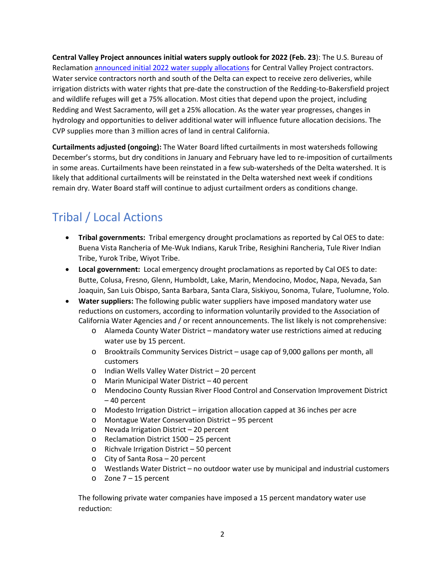**Central Valley Project announces initial waters supply outlook for 2022 (Feb. 23**): The U.S. Bureau of Reclamation [announced initial 2022 water supply allocations](https://www.usbr.gov/newsroom/#/news-release/4104) for Central Valley Project contractors. Water service contractors north and south of the Delta can expect to receive zero deliveries, while irrigation districts with water rights that pre-date the construction of the Redding-to-Bakersfield project and wildlife refuges will get a 75% allocation. Most cities that depend upon the project, including Redding and West Sacramento, will get a 25% allocation. As the water year progresses, changes in hydrology and opportunities to deliver additional water will influence future allocation decisions. The CVP supplies more than 3 million acres of land in central California.

**Curtailments adjusted (ongoing):** The Water Board lifted curtailments in most watersheds following December's storms, but dry conditions in January and February have led to re-imposition of curtailments in some areas. Curtailments have been reinstated in a few sub-watersheds of the Delta watershed. It is likely that additional curtailments will be reinstated in the Delta watershed next week if conditions remain dry. Water Board staff will continue to adjust curtailment orders as conditions change.

# Tribal / Local Actions

- **Tribal governments:** Tribal emergency drought proclamations as reported by Cal OES to date: Buena Vista Rancheria of Me-Wuk Indians, Karuk Tribe, Resighini Rancheria, Tule River Indian Tribe, Yurok Tribe, Wiyot Tribe.
- **Local government:** Local emergency drought proclamations as reported by Cal OES to date: Butte, Colusa, Fresno, Glenn, Humboldt, Lake, Marin, Mendocino, Modoc, Napa, Nevada, San Joaquin, San Luis Obispo, Santa Barbara, Santa Clara, Siskiyou, Sonoma, Tulare, Tuolumne, Yolo.
- **Water suppliers:** The following public water suppliers have imposed mandatory water use reductions on customers, according to information voluntarily provided to the Association of California Water Agencies and / or recent announcements. The list likely is not comprehensive:
	- o Alameda County Water District mandatory water use restrictions aimed at reducing water use by 15 percent.
	- o Brooktrails Community Services District usage cap of 9,000 gallons per month, all customers
	- o Indian Wells Valley Water District 20 percent
	- o Marin Municipal Water District 40 percent
	- o Mendocino County Russian River Flood Control and Conservation Improvement District – 40 percent
	- o Modesto Irrigation District irrigation allocation capped at 36 inches per acre
	- o Montague Water Conservation District 95 percent
	- o Nevada Irrigation District 20 percent
	- o Reclamation District 1500 25 percent
	- o Richvale Irrigation District 50 percent
	- o City of Santa Rosa 20 percent
	- o Westlands Water District no outdoor water use by municipal and industrial customers
	- o Zone 7 15 percent

The following private water companies have imposed a 15 percent mandatory water use reduction: